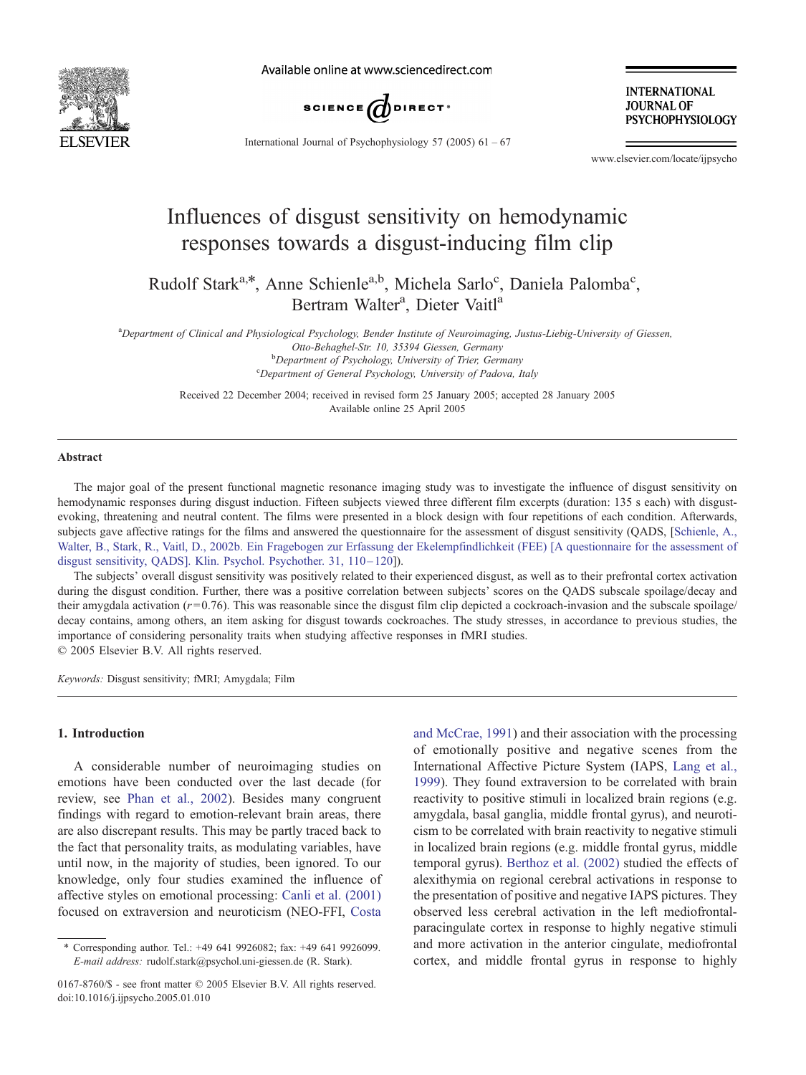

Available online at www.sciencedirect.com



**INTERNATIONAL JOURNAL OF PSYCHOPHYSIOLOGY** 

International Journal of Psychophysiology 57 (2005)  $61 - 67$ 

www.elsevier.com/locate/ijpsycho

## Influences of disgust sensitivity on hemodynamic responses towards a disgust-inducing film clip

Rudolf Stark<sup>a,\*</sup>, Anne Schienle<sup>a,b</sup>, Michela Sarlo<sup>c</sup>, Daniela Palomba<sup>c</sup>, Bertram Walter<sup>a</sup>, Dieter Vaitl<sup>a</sup>

a Department of Clinical and Physiological Psychology, Bender Institute of Neuroimaging, Justus-Liebig-University of Giessen, Otto-Behaghel-Str. 10, 35394 Giessen, Germany <sup>b</sup>  $b$ Department of Psychology, University of Trier, Germany

Department of General Psychology, University of Padova, Italy

Received 22 December 2004; received in revised form 25 January 2005; accepted 28 January 2005 Available online 25 April 2005

#### Abstract

The major goal of the present functional magnetic resonance imaging study was to investigate the influence of disgust sensitivity on hemodynamic responses during disgust induction. Fifteen subjects viewed three different film excerpts (duration: 135 s each) with disgustevoking, threatening and neutral content. The films were presented in a block design with four repetitions of each condition. Afterwards, subjects gave affective ratings for the films and answered the questionnaire for the assessment of disgust sensitivity (QADS, [Schienle, A., [Walter, B., Stark, R., Vaitl, D., 2002b. Ein Fragebogen zur Erfassung der Ekelempfindlichkeit \(FEE\) \[A questionnaire for the assessment of](#page--1-0) disgust sensitivity, QADS]. Klin. Psychol. Psychother. 31, 110-120]).

The subjects' overall disgust sensitivity was positively related to their experienced disgust, as well as to their prefrontal cortex activation during the disgust condition. Further, there was a positive correlation between subjects' scores on the OADS subscale spoilage/decay and their amygdala activation  $(r=0.76)$ . This was reasonable since the disgust film clip depicted a cockroach-invasion and the subscale spoilage/ decay contains, among others, an item asking for disgust towards cockroaches. The study stresses, in accordance to previous studies, the importance of considering personality traits when studying affective responses in fMRI studies.  $\odot$  2005 Elsevier B.V. All rights reserved.

Keywords: Disgust sensitivity; fMRI; Amygdala; Film

#### 1. Introduction

A considerable number of neuroimaging studies on emotions have been conducted over the last decade (for review, see [Phan et al., 2002\)](#page--1-0). Besides many congruent findings with regard to emotion-relevant brain areas, there are also discrepant results. This may be partly traced back to the fact that personality traits, as modulating variables, have until now, in the majority of studies, been ignored. To our knowledge, only four studies examined the influence of affective styles on emotional processing: [Canli et al. \(2001\)](#page--1-0) focused on extraversion and neuroticism (NEO-FFI, [Costa](#page--1-0)

and McCrae, 1991) and their association with the processing of emotionally positive and negative scenes from the International Affective Picture System (IAPS, [Lang et al.,](#page--1-0) 1999). They found extraversion to be correlated with brain reactivity to positive stimuli in localized brain regions (e.g. amygdala, basal ganglia, middle frontal gyrus), and neuroticism to be correlated with brain reactivity to negative stimuli in localized brain regions (e.g. middle frontal gyrus, middle temporal gyrus). [Berthoz et al. \(2002\)](#page--1-0) studied the effects of alexithymia on regional cerebral activations in response to the presentation of positive and negative IAPS pictures. They observed less cerebral activation in the left mediofrontalparacingulate cortex in response to highly negative stimuli and more activation in the anterior cingulate, mediofrontal cortex, and middle frontal gyrus in response to highly

Corresponding author. Tel.: +49 641 9926082; fax: +49 641 9926099. E-mail address: rudolf.stark@psychol.uni-giessen.de (R. Stark).

<sup>0167-8760/\$ -</sup> see front matter  $\odot$  2005 Elsevier B.V. All rights reserved. doi:10.1016/j.ijpsycho.2005.01.010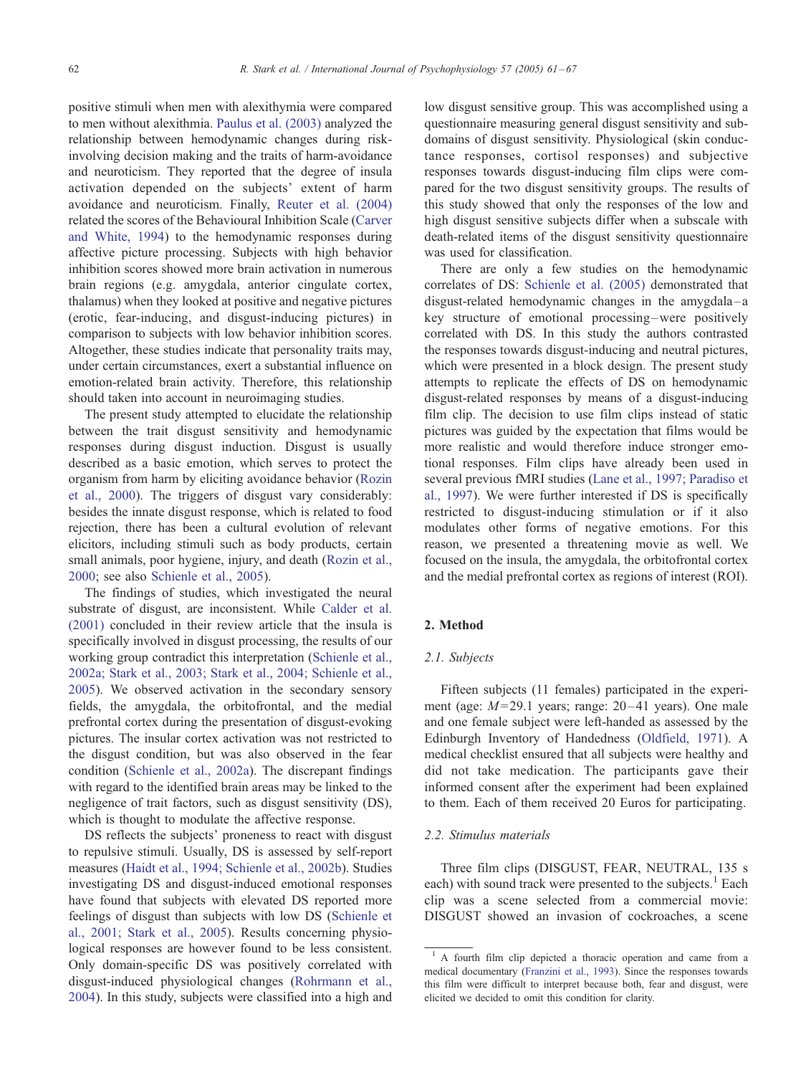positive stimuli when men with alexithymia were compared to men without alexithmia. [Paulus et al. \(2003\)](#page--1-0) analyzed the relationship between hemodynamic changes during riskinvolving decision making and the traits of harm-avoidance and neuroticism. They reported that the degree of insula activation depended on the subjects' extent of harm avoidance and neuroticism. Finally, [Reuter et al. \(2004\)](#page--1-0) related the scores of the Behavioural Inhibition Scale ([Carver](#page--1-0) and White, 1994) to the hemodynamic responses during affective picture processing. Subjects with high behavior inhibition scores showed more brain activation in numerous brain regions (e.g. amygdala, anterior cingulate cortex, thalamus) when they looked at positive and negative pictures (erotic, fear-inducing, and disgust-inducing pictures) in comparison to subjects with low behavior inhibition scores. Altogether, these studies indicate that personality traits may, under certain circumstances, exert a substantial influence on emotion-related brain activity. Therefore, this relationship should taken into account in neuroimaging studies.

The present study attempted to elucidate the relationship between the trait disgust sensitivity and hemodynamic responses during disgust induction. Disgust is usually described as a basic emotion, which serves to protect the organism from harm by eliciting avoidance behavior ([Rozin](#page--1-0) et al., 2000). The triggers of disgust vary considerably: besides the innate disgust response, which is related to food rejection, there has been a cultural evolution of relevant elicitors, including stimuli such as body products, certain small animals, poor hygiene, injury, and death ([Rozin et al.,](#page--1-0) 2000; see also [Schienle et al., 2005\)](#page--1-0).

The findings of studies, which investigated the neural substrate of disgust, are inconsistent. While [Calder et al.](#page--1-0) (2001) concluded in their review article that the insula is specifically involved in disgust processing, the results of our working group contradict this interpretation ([Schienle et al.,](#page--1-0) 2002a; Stark et al., 2003; Stark et al., 2004; Schienle et al., 2005). We observed activation in the secondary sensory fields, the amygdala, the orbitofrontal, and the medial prefrontal cortex during the presentation of disgust-evoking pictures. The insular cortex activation was not restricted to the disgust condition, but was also observed in the fear condition [\(Schienle et al., 2002a\)](#page--1-0). The discrepant findings with regard to the identified brain areas may be linked to the negligence of trait factors, such as disgust sensitivity (DS), which is thought to modulate the affective response.

DS reflects the subjects' proneness to react with disgust to repulsive stimuli. Usually, DS is assessed by self-report measures [\(Haidt et al., 1994; Schienle et al., 2002b\)](#page--1-0). Studies investigating DS and disgust-induced emotional responses have found that subjects with elevated DS reported more feelings of disgust than subjects with low DS ([Schienle et](#page--1-0) al., 2001; Stark et al., 2005). Results concerning physiological responses are however found to be less consistent. Only domain-specific DS was positively correlated with disgust-induced physiological changes ([Rohrmann et al.,](#page--1-0) 2004). In this study, subjects were classified into a high and low disgust sensitive group. This was accomplished using a questionnaire measuring general disgust sensitivity and subdomains of disgust sensitivity. Physiological (skin conductance responses, cortisol responses) and subjective responses towards disgust-inducing film clips were compared for the two disgust sensitivity groups. The results of this study showed that only the responses of the low and high disgust sensitive subjects differ when a subscale with death-related items of the disgust sensitivity questionnaire was used for classification.

There are only a few studies on the hemodynamic correlates of DS: [Schienle et al. \(2005\)](#page--1-0) demonstrated that disgust-related hemodynamic changes in the amygdala –a key structure of emotional processing –were positively correlated with DS. In this study the authors contrasted the responses towards disgust-inducing and neutral pictures, which were presented in a block design. The present study attempts to replicate the effects of DS on hemodynamic disgust-related responses by means of a disgust-inducing film clip. The decision to use film clips instead of static pictures was guided by the expectation that films would be more realistic and would therefore induce stronger emotional responses. Film clips have already been used in several previous fMRI studies ([Lane et al., 1997; Paradiso et](#page--1-0) al., 1997). We were further interested if DS is specifically restricted to disgust-inducing stimulation or if it also modulates other forms of negative emotions. For this reason, we presented a threatening movie as well. We focused on the insula, the amygdala, the orbitofrontal cortex and the medial prefrontal cortex as regions of interest (ROI).

### 2. Method

### 2.1. Subjects

Fifteen subjects (11 females) participated in the experiment (age:  $M = 29.1$  years; range: 20-41 years). One male and one female subject were left-handed as assessed by the Edinburgh Inventory of Handedness ([Oldfield, 1971\)](#page--1-0). A medical checklist ensured that all subjects were healthy and did not take medication. The participants gave their informed consent after the experiment had been explained to them. Each of them received 20 Euros for participating.

#### 2.2. Stimulus materials

Three film clips (DISGUST, FEAR, NEUTRAL, 135 s each) with sound track were presented to the subjects. $<sup>1</sup>$  Each</sup> clip was a scene selected from a commercial movie: DISGUST showed an invasion of cockroaches, a scene

<sup>&</sup>lt;sup>1</sup> A fourth film clip depicted a thoracic operation and came from a medical documentary ([Franzini et al., 1993\)](#page--1-0). Since the responses towards this film were difficult to interpret because both, fear and disgust, were elicited we decided to omit this condition for clarity.